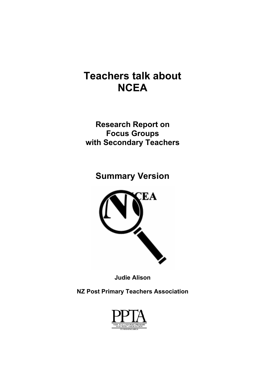# **Teachers talk about NCEA**

**Research Report on Focus Groups with Secondary Teachers**

**Summary Version** 



**Judie Alison** 

**NZ Post Primary Teachers Association**

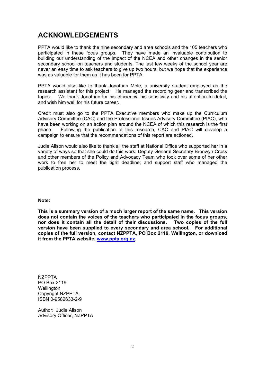### **ACKNOWLEDGEMENTS**

PPTA would like to thank the nine secondary and area schools and the 105 teachers who participated in these focus groups. They have made an invaluable contribution to building our understanding of the impact of the NCEA and other changes in the senior secondary school on teachers and students. The last few weeks of the school year are never an easy time to ask teachers to give up two hours, but we hope that the experience was as valuable for them as it has been for PPTA.

PPTA would also like to thank Jonathan Mole, a university student employed as the research assistant for this project. He managed the recording gear and transcribed the tapes. We thank Jonathan for his efficiency, his sensitivity and his attention to detail, and wish him well for his future career.

Credit must also go to the PPTA Executive members who make up the Curriculum Advisory Committee (CAC) and the Professional Issues Advisory Committee (PIAC), who have been working on an action plan around the NCEA of which this research is the first phase. Following the publication of this research, CAC and PIAC will develop a campaign to ensure that the recommendations of this report are actioned.

Judie Alison would also like to thank all the staff at National Office who supported her in a variety of ways so that she could do this work: Deputy General Secretary Bronwyn Cross and other members of the Policy and Advocacy Team who took over some of her other work to free her to meet the tight deadline; and support staff who managed the publication process.

**Note:** 

**This is a summary version of a much larger report of the same name. This version does not contain the voices of the teachers who participated in the focus groups, nor does it contain all the detail of their discussions. Two copies of the full version have been supplied to every secondary and area school. For additional copies of the full version, contact NZPPTA, PO Box 2119, Wellington, or download it from the PPTA website, [www.ppta.org.nz.](http://www.ppta.org.nz/)** 

**NZPPTA** PO Box 2119 **Wellington** Copyright NZPPTA ISBN 0-9582633-2-9

Author: Judie Alison Advisory Officer, NZPPTA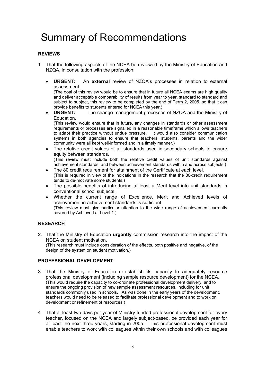# Summary of Recommendations

### **REVIEWS**

- 1. That the following aspects of the NCEA be reviewed by the Ministry of Education and NZQA, in consultation with the profession:
	- **URGENT:** An **external** review of NZQA's processes in relation to external assessment.

(The goal of this review would be to ensure that in future all NCEA exams are high quality and deliver acceptable comparability of results from year to year, standard to standard and subject to subject, this review to be completed by the end of Term 2, 2005, so that it can provide benefits to students entered for NCEA this year.)

• **URGENT:** The change management processes of NZQA and the Ministry of Education.

(This review would ensure that in future, any changes in standards or other assessment requirements or processes are signalled in a reasonable timeframe which allows teachers to adapt their practice without undue pressure. It would also consider communication systems in both agencies to ensure that teachers, students, parents and the wider community were all kept well-informed and in a timely manner.)

• The relative credit values of all standards used in secondary schools to ensure equity between standards. (This review must include both the relative credit values of unit standards against

achievement standards, and between achievement standards within and across subjects.) • The 80 credit requirement for attainment of the Certificate at each level*.* 

- (This is required in view of the indications in the research that the 80-credit requirement tends to de-motivate some students.)
- The possible benefits of introducing at least a Merit level into unit standards in conventional school subjects.
- Whether the current range of Excellence, Merit and Achieved levels of achievement in achievement standards is sufficient. (This review must give particular attention to the wide range of achievement currently covered by Achieved at Level 1.)

### **RESEARCH**

2. That the Ministry of Education **urgently** commission research into the impact of the NCEA on student motivation. (This research must include consideration of the effects, both positive and negative, of the

design of the system on student motivation.)

### **PROFESSIONAL DEVELOPMENT**

- 3. That the Ministry of Education re-establish its capacity to adequately resource professional development (including sample resource development) for the NCEA. (This would require the capacity to co-ordinate professional development delivery, and to ensure the ongoing provision of new sample assessment resources, including for unit standards commonly used in schools. As was done in the early years of the development, teachers would need to be released to facilitate professional development and to work on development or refinement of resources.)
- 4. That at least two days per year of Ministry-funded professional development for every teacher, focused on the NCEA and largely subject-based, be provided each year for at least the next three years, starting in 2005. This professional development must enable teachers to work with colleagues within their own schools and with colleagues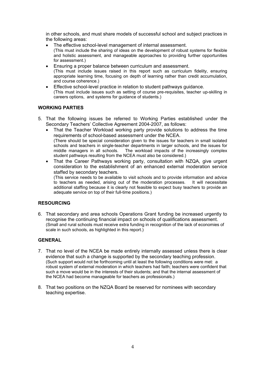in other schools, and must share models of successful school and subject practices in the following areas:

• The effective school-level management of internal assessment.

(This must include the sharing of ideas on the development of robust systems for flexible and holistic assessment, and manageable approaches to providing further opportunities for assessment.)

- Ensuring a proper balance between curriculum and assessment. (This must include issues raised in this report such as curriculum fidelity, ensuring appropriate learning time, focusing on depth of learning rather than credit accumulation, and course coherence.)
- Effective school-level practice in relation to student pathways guidance. (This must include issues such as setting of course pre-requisites, teacher up-skilling in careers options, and systems for guidance of students.)

### **WORKING PARTIES**

- 5. That the following issues be referred to Working Parties established under the Secondary Teachers' Collective Agreement 2004-2007, as follows:
	- That the Teacher Workload working party provide solutions to address the time requirements of school-based assessment under the NCEA. (There should be special consideration given to the issues for teachers in small isolated schools and teachers in single-teacher departments in larger schools, and the issues for middle managers in all schools. The workload impacts of the increasingly complex student pathways resulting from the NCEA must also be considered.)
	- That the Career Pathways working party, consultation with NZQA, give urgent consideration to the establishment of an enhanced external moderation service staffed by secondary teachers.

(This service needs to be available to visit schools and to provide information and advice to teachers as needed, arising out of the moderation processes. It will necessitate additional staffing because it is clearly not feasible to expect busy teachers to provide an adequate service on top of their full-time positions.)

### **RESOURCING**

6. That secondary and area schools Operations Grant funding be increased urgently to recognise the continuing financial impact on schools of qualifications assessment. (Small and rural schools must receive extra funding in recognition of the lack of economies of scale in such schools, as highlighted in this report.)

### **GENERAL**

- 7. That no level of the NCEA be made entirely internally assessed unless there is clear evidence that such a change is supported by the secondary teaching profession. (Such support would not be forthcoming until at least the following conditions were met: a robust system of external moderation in which teachers had faith; teachers were confident that such a move would be in the interests of their students; and that the internal assessment of the NCEA had become manageable for teachers as professionals.)
- 8. That two positions on the NZQA Board be reserved for nominees with secondary teaching expertise.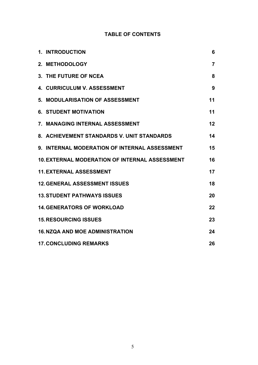### **TABLE OF CONTENTS**

| <b>1. INTRODUCTION</b>                                | 6              |
|-------------------------------------------------------|----------------|
| 2. METHODOLOGY                                        | $\overline{7}$ |
| 3. THE FUTURE OF NCEA                                 | 8              |
| <b>4. CURRICULUM V. ASSESSMENT</b>                    | 9              |
| 5. MODULARISATION OF ASSESSMENT                       | 11             |
| <b>6. STUDENT MOTIVATION</b>                          | 11             |
| 7. MANAGING INTERNAL ASSESSMENT                       | 12             |
| 8. ACHIEVEMENT STANDARDS V. UNIT STANDARDS            | 14             |
| 9. INTERNAL MODERATION OF INTERNAL ASSESSMENT         | 15             |
| <b>10. EXTERNAL MODERATION OF INTERNAL ASSESSMENT</b> | 16             |
| <b>11. EXTERNAL ASSESSMENT</b>                        | 17             |
| <b>12. GENERAL ASSESSMENT ISSUES</b>                  | 18             |
| <b>13. STUDENT PATHWAYS ISSUES</b>                    | 20             |
| <b>14. GENERATORS OF WORKLOAD</b>                     | 22             |
| <b>15. RESOURCING ISSUES</b>                          | 23             |
| <b>16. NZQA AND MOE ADMINISTRATION</b>                | 24             |
| <b>17. CONCLUDING REMARKS</b>                         | 26             |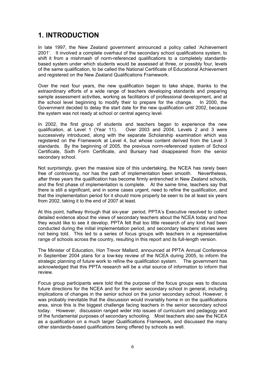### **1. INTRODUCTION**

In late 1997, the New Zealand government announced a policy called 'Achievement 2001'. It involved a complete overhaul of the secondary school qualifications system, to shift it from a mishmash of norm-referenced qualifications to a completely standardsbased system under which students would be assessed at three, or possibly four, levels of the same qualification, to be called the National Certificate of Educational Achievement and registered on the New Zealand Qualifications Framework.

Over the next four years, the new qualification began to take shape, thanks to the extraordinary efforts of a wide range of teachers developing standards and preparing sample assessment activities, working as facilitators of professional development, and at the school level beginning to modify their to prepare for the change. In 2000, the Government decided to delay the start date for the new qualification until 2002, because the system was not ready at school or central agency level.

In 2002, the first group of students and teachers began to experience the new qualification, at Level 1 (Year 11). Over 2003 and 2004, Levels 2 and 3 were Over 2003 and 2004, Levels 2 and 3 were successively introduced, along with the separate Scholarship examination which was registered on the Framework at Level 4, but whose content derived from the Level 3 standards. By the beginning of 2005, the previous norm-referenced system of School Certificate, Sixth Form Certificate, and Bursary had disappeared from the senior secondary school.

Not surprisingly, given the massive size of this undertaking, the NCEA has rarely been free of controversy, nor has the path of implementation been smooth. Nevertheless, after three years the qualification has become firmly entrenched in New Zealand schools, and the first phase of implementation is complete. At the same time, teachers say that there is still a significant, and in some cases urgent, need to refine the qualification, and that the implementation period for it should more properly be seen to be at least six years from 2002, taking it to the end of 2007 at least.

At this point, halfway through that six-year period, PPTA's Executive resolved to collect detailed evidence about the views of secondary teachers about the NCEA today and how they would like to see it develop. PPTA felt that too little research of any kind had been conducted during the initial implementation period, and secondary teachers' stories were not being told. This led to a series of focus groups with teachers in a representative range of schools across the country, resulting in this report and its full-length version.

The Minister of Education, Hon Trevor Mallard, announced at PPTA Annual Conference in September 2004 plans for a low-key review of the NCEA during 2005, to inform the strategic planning of future work to refine the qualification system. The government has acknowledged that this PPTA research will be a vital source of information to inform that review.

Focus group participants were told that the purpose of the focus groups was to discuss future directions for the NCEA and for the senior secondary school in general, including implications of changes in the senior school on the junior secondary school. However, it was probably inevitable that the discussion would invariably home in on the qualifications area, since this is the biggest challenge facing teachers in the senior secondary school today. However, discussion ranged wider into issues of curriculum and pedagogy and of the fundamental purposes of secondary schooling. Most teachers also saw the NCEA as a qualification on a much larger Qualifications Framework, and discussed the many other standards-based qualifications being offered by schools as well.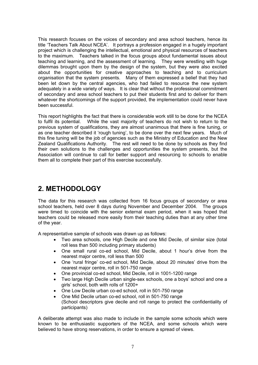This research focuses on the voices of secondary and area school teachers, hence its title 'Teachers Talk About NCEA'. It portrays a profession engaged in a hugely important project which is challenging the intellectual, emotional and physical resources of teachers to the maximum. Teachers talked in the focus groups about fundamental issues about teaching and learning, and the assessment of learning. They were wrestling with huge dilemmas brought upon them by the design of the system, but they were also excited about the opportunities for creative approaches to teaching and to curriculum organisation that the system presents. Many of them expressed a belief that they had been let down by the central agencies, who had failed to resource the new system adequately in a wide variety of ways. It is clear that without the professional commitment of secondary and area school teachers to put their students first and to deliver for them whatever the shortcomings of the support provided, the implementation could never have been successful.

This report highlights the fact that there is considerable work still to be done for the NCEA to fulfil its potential. While the vast majority of teachers do not wish to return to the previous system of qualifications, they are almost unanimous that there is fine tuning, or as one teacher described it 'rough tuning', to be done over the next few years. Much of this fine tuning will be the job of agencies such as the Ministry of Education and the New Zealand Qualifications Authority. The rest will need to be done by schools as they find their own solutions to the challenges and opportunities the system presents, but the Association will continue to call for better support and resourcing to schools to enable them all to complete their part of this exercise successfully.

## **2. METHODOLOGY**

The data for this research was collected from 16 focus groups of secondary or area school teachers, held over 8 days during November and December 2004. The groups were timed to coincide with the senior external exam period, when it was hoped that teachers could be released more easily from their teaching duties than at any other time of the year.

A representative sample of schools was drawn up as follows:

- Two area schools, one High Decile and one Mid Decile, of similar size (total roll less than 500 including primary students)
- One small rural co-ed school, Mid Decile, about 1 hour's drive from the nearest major centre, roll less than 500
- One 'rural fringe' co-ed school, Mid Decile, about 20 minutes' drive from the nearest major centre, roll in 501-750 range
- One provincial co-ed school, Mid Decile, roll in 1001-1200 range
- Two large High Decile urban single-sex schools, one a boys' school and one a girls' school, both with rolls of 1200+
- One Low Decile urban co-ed school, roll in 501-750 range
- One Mid Decile urban co-ed school, roll in 501-750 range (School descriptors give decile and roll range to protect the confidentiality of participants)

A deliberate attempt was also made to include in the sample some schools which were known to be enthusiastic supporters of the NCEA, and some schools which were believed to have strong reservations, in order to ensure a spread of views.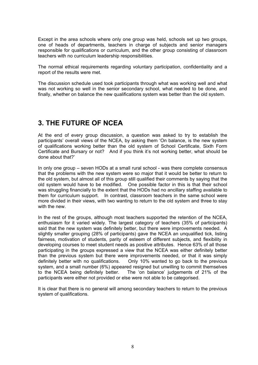Except in the area schools where only one group was held, schools set up two groups, one of heads of departments, teachers in charge of subjects and senior managers responsible for qualifications or curriculum, and the other group consisting of classroom teachers with no curriculum leadership responsibilities.

The normal ethical requirements regarding voluntary participation, confidentiality and a report of the results were met.

The discussion schedule used took participants through what was working well and what was not working so well in the senior secondary school, what needed to be done, and finally, whether on balance the new qualifications system was better than the old system.

### **3. THE FUTURE OF NCEA**

At the end of every group discussion, a question was asked to try to establish the participants' overall views of the NCEA, by asking them 'On balance, is the new system of qualifications working better than the old system of School Certificate, Sixth Form Certificate and Bursary or not? And if you think it's not working better, what should be done about that?'

In only one group – seven HODs at a small rural school - was there complete consensus that the problems with the new system were so major that it would be better to return to the old system, but almost all of this group still qualified their comments by saying that the old system would have to be modified. One possible factor in this is that their school was struggling financially to the extent that the HODs had no ancillary staffing available to them for curriculum support. In contrast, classroom teachers in the same school were more divided in their views, with two wanting to return to the old system and three to stay with the new.

In the rest of the groups, although most teachers supported the retention of the NCEA, enthusiasm for it varied widely. The largest category of teachers (35% of participants) said that the new system was definitely better, but there were improvements needed. A slightly smaller grouping (28% of participants) gave the NCEA an unqualified tick, listing fairness, motivation of students, parity of esteem of different subjects, and flexibility in developing courses to meet student needs as positive attributes. Hence 63% of all those participating in the groups expressed a view that the NCEA was either definitely better than the previous system but there were improvements needed, or that it was simply definitely better with no qualifications. Only 10% wanted to go back to the previous system, and a small number (6%) appeared resigned but unwilling to commit themselves to the NCEA being definitely better. The 'on balance' judgements of 21% of the participants were either not provided or else were not able to be categorised.

It is clear that there is no general will among secondary teachers to return to the previous system of qualifications.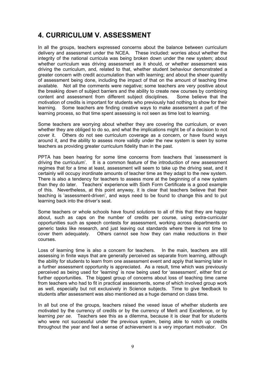### **4. CURRICULUM V. ASSESSMENT**

In all the groups, teachers expressed concerns about the balance between curriculum delivery and assessment under the NCEA. These included: worries about whether the integrity of the national curricula was being broken down under the new system; about whether curriculum was driving assessment as it should, or whether assessment was driving the curriculum, and, related to that, whether student behaviour demonstrated a greater concern with credit accumulation than with learning; and about the sheer quantity of assessment being done, including the impact of that on the amount of teaching time available. Not all the comments were negative; some teachers are very positive about the breaking down of subject barriers and the ability to create new courses by combining content and assessment from different subject disciplines. Some believe that the motivation of credits is important for students who previously had nothing to show for their learning. Some teachers are finding creative ways to make assessment a part of the learning process, so that time spent assessing is not seen as time lost to learning.

Some teachers are worrying about whether they are covering the curriculum, or even whether they are obliged to do so, and what the implications might be of a decision to not cover it. Others do not see curriculum coverage as a concern, or have found ways around it, and the ability to assess more validly under the new system is seen by some teachers as providing greater curriculum fidelity than in the past.

PPTA has been hearing for some time concerns from teachers that 'assessment is driving the curriculum'. It is a common feature of the introduction of new assessment regimes that for a time at least, assessment will seem to take up the driving seat, and it certainly will occupy inordinate amounts of teacher time as they adapt to the new system. There is also a tendency for teachers to assess more at the beginning of a new system than they do later. Teachers' experience with Sixth Form Certificate is a good example of this. Nevertheless, at this point anyway, it is clear that teachers believe that their teaching is 'assessment-driven', and ways need to be found to change this and to put learning back into the driver's seat.

Some teachers or whole schools have found solutions to all of this that they are happy about, such as caps on the number of credits per course, using extra-curricular opportunities such as speech contests for assessment, working across departments on generic tasks like research, and just leaving out standards where there is not time to cover them adequately. Others cannot see how they can make reductions in their courses.

Loss of learning time is also a concern for teachers. In the main, teachers are still assessing in finite ways that are generally perceived as separate from learning, although the ability for students to learn from one assessment event and apply that learning later in a further assessment opportunity is appreciated. As a result, time which was previously perceived as being used for 'learning' is now being used for 'assessment', either first or further opportunities. The biggest group of concerns about loss of teaching time came from teachers who had to fit in practical assessments, some of which involved group work as well, especially but not exclusively in Science subjects. Time to give feedback to students after assessment was also mentioned as a huge demand on class time.

In all but one of the groups, teachers raised the vexed issue of whether students are motivated by the currency of credits or by the currency of Merit and Excellence, or by learning *per se*. Teachers see this as a dilemma, because it is clear that for students who were not successful under the previous system, being able to notch up credits throughout the year and feel a sense of achievement is a very important motivator. On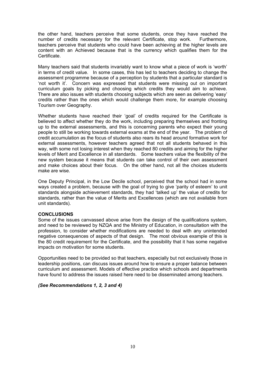the other hand, teachers perceive that some students, once they have reached the number of credits necessary for the relevant Certificate, stop work. Furthermore, teachers perceive that students who could have been achieving at the higher levels are content with an Achieved because that is the currency which qualifies them for the **Certificate** 

Many teachers said that students invariably want to know what a piece of work is 'worth' in terms of credit value. In some cases, this has led to teachers deciding to change the assessment programme because of a perception by students that a particular standard is 'not worth it'. Concern was expressed that students were missing out on important curriculum goals by picking and choosing which credits they would aim to achieve. There are also issues with students choosing subjects which are seen as delivering 'easy' credits rather than the ones which would challenge them more, for example choosing Tourism over Geography.

Whether students have reached their 'goal' of credits required for the Certificate is believed to affect whether they do the work, including preparing themselves and fronting up to the external assessments, and this is concerning parents who expect their young people to still be working towards external exams at the end of the year. The problem of credit accumulation as the focus of students also rears its head around formative work for external assessments, however teachers agreed that not all students behaved in this way, with some not losing interest when they reached 80 credits and aiming for the higher levels of Merit and Excellence in all standards. Some teachers value the flexibility of the new system because it means that students can take control of their own assessment and make choices about their focus. On the other hand, not all the choices students make are wise.

One Deputy Principal, in the Low Decile school, perceived that the school had in some ways created a problem, because with the goal of trying to give 'parity of esteem' to unit standards alongside achievement standards, they had 'talked up' the value of credits for standards, rather than the value of Merits and Excellences (which are not available from unit standards).

### **CONCLUSIONS**

Some of the issues canvassed above arise from the design of the qualifications system, and need to be reviewed by NZQA and the Ministry of Education, in consultation with the profession, to consider whether modifications are needed to deal with any unintended negative consequences of aspects of that design. The most obvious example of this is the 80 credit requirement for the Certificate, and the possibility that it has some negative impacts on motivation for some students.

Opportunities need to be provided so that teachers, especially but not exclusively those in leadership positions, can discuss issues around how to ensure a proper balance between curriculum and assessment. Models of effective practice which schools and departments have found to address the issues raised here need to be disseminated among teachers.

### *(See Recommendations 1, 2, 3 and 4)*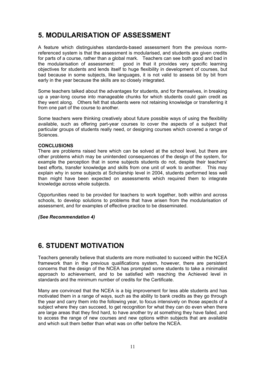### **5. MODULARISATION OF ASSESSMENT**

A feature which distinguishes standards-based assessment from the previous normreferenced system is that the assessment is modularised, and students are given credits for parts of a course, rather than a global mark. Teachers can see both good and bad in the modularisation of assessment: good in that it provides very specific learning objectives for students and lends itself to huge flexibility in development of courses, but bad because in some subjects, like languages, it is not valid to assess bit by bit from early in the year because the skills are so closely integrated.

Some teachers talked about the advantages for students, and for themselves, in breaking up a year-long course into manageable chunks for which students could gain credit as they went along. Others felt that students were not retaining knowledge or transferring it from one part of the course to another.

Some teachers were thinking creatively about future possible ways of using the flexibility available, such as offering part-year courses to cover the aspects of a subject that particular groups of students really need, or designing courses which covered a range of Sciences.

### **CONCLUSIONS**

There are problems raised here which can be solved at the school level, but there are other problems which may be unintended consequences of the design of the system, for example the perception that in some subjects students do not, despite their teachers' best efforts, transfer knowledge and skills from one unit of work to another. This may explain why in some subjects at Scholarship level in 2004, students performed less well than might have been expected on assessments which required them to integrate knowledge across whole subjects.

Opportunities need to be provided for teachers to work together, both within and across schools, to develop solutions to problems that have arisen from the modularisation of assessment, and for examples of effective practice to be disseminated.

### *(See Recommendation 4)*

### **6. STUDENT MOTIVATION**

Teachers generally believe that students are more motivated to succeed within the NCEA framework than in the previous qualifications system, however, there are persistent concerns that the design of the NCEA has prompted some students to take a minimalist approach to achievement, and to be satisfied with reaching the Achieved level in standards and the minimum number of credits for the Certificate.

Many are convinced that the NCEA is a big improvement for less able students and has motivated them in a range of ways, such as the ability to bank credits as they go through the year and carry them into the following year, to focus intensively on those aspects of a subject where they can succeed, to get recognition for what they can do even when there are large areas that they find hard, to have another try at something they have failed, and to access the range of new courses and new options within subjects that are available and which suit them better than what was on offer before the NCEA.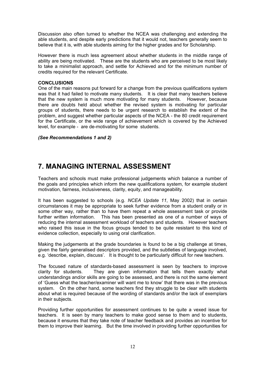Discussion also often turned to whether the NCEA was challenging and extending the able students, and despite early predictions that it would not, teachers generally seem to believe that it is, with able students aiming for the higher grades and for Scholarship.

However there is much less agreement about whether students in the middle range of ability are being motivated. These are the students who are perceived to be most likely to take a minimalist approach, and settle for Achieved and for the minimum number of credits required for the relevant Certificate.

### **CONCLUSIONS**

One of the main reasons put forward for a change from the previous qualifications system was that it had failed to motivate many students. It is clear that many teachers believe that the new system is much more motivating for many students. However, because there are doubts held about whether the revised system is motivating for particular groups of students, there needs to be urgent research to establish the extent of the problem, and suggest whether particular aspects of the NCEA - the 80 credit requirement for the Certificate, or the wide range of achievement which is covered by the Achieved level, for example - are de-motivating for some students.

### *(See Recommendations 1 and 2)*

### **7. MANAGING INTERNAL ASSESSMENT**

Teachers and schools must make professional judgements which balance a number of the goals and principles which inform the new qualifications system, for example student motivation, fairness, inclusiveness, clarity, equity, and manageability.

It has been suggested to schools (e.g. *NCEA Update 11*, May 2002) that in certain circumstances it may be appropriate to seek further evidence from a student orally or in some other way, rather than to have them repeat a whole assessment task or provide further written information. This has been presented as one of a number of ways of reducing the internal assessment workload of teachers and students. However teachers who raised this issue in the focus groups tended to be quite resistant to this kind of evidence collection, especially to using oral clarification.

Making the judgements at the grade boundaries is found to be a big challenge at times, given the fairly generalised descriptors provided, and the subtleties of language involved, e.g. 'describe, explain, discuss'. It is thought to be particularly difficult for new teachers.

The focused nature of standards-based assessment is seen by teachers to improve clarity for students. They are given information that tells them exactly what understandings and/or skills are going to be assessed, and there is not the same element of 'Guess what the teacher/examiner will want me to know' that there was in the previous system. On the other hand, some teachers find they struggle to be clear with students about what is required because of the wording of standards and/or the lack of exemplars in their subjects.

Providing further opportunities for assessment continues to be quite a vexed issue for teachers. It is seen by many teachers to make good sense to them and to students, because it ensures that they take note of teacher feedback and provides an incentive for them to improve their learning. But the time involved in providing further opportunities for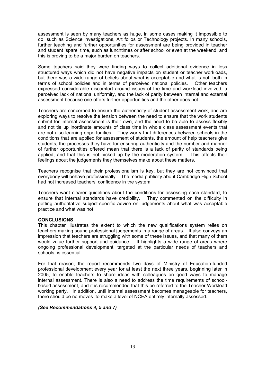assessment is seen by many teachers as huge, in some cases making it impossible to do, such as Science investigations, Art folios or Technology projects. In many schools, further teaching and further opportunities for assessment are being provided in teacher and student 'spare' time, such as lunchtimes or after school or even at the weekend, and this is proving to be a major burden on teachers.

Some teachers said they were finding ways to collect additional evidence in less structured ways which did not have negative impacts on student or teacher workloads, but there was a wide range of beliefs about what is acceptable and what is not, both in terms of school policies and in terms of perceived national policies. Other teachers terms of school policies and in terms of perceived national policies. expressed considerable discomfort around issues of the time and workload involved, a perceived lack of national uniformity, and the lack of parity between internal and external assessment because one offers further opportunities and the other does not.

Teachers are concerned to ensure the authenticity of student assessment work, and are exploring ways to resolve the tension between the need to ensure that the work students submit for internal assessment is their own, and the need to be able to assess flexibly and not tie up inordinate amounts of class time in whole class assessment events that are not also learning opportunities. They worry that differences between schools in the conditions that are applied for assessment of students, the amount of help teachers give students, the processes they have for ensuring authenticity and the number and manner of further opportunities offered mean that there is a lack of parity of standards being applied, and that this is not picked up by the moderation system. This affects their feelings about the judgements they themselves make about these matters.

Teachers recognise that their professionalism is key, but they are not convinced that everybody will behave professionally. The media publicity about Cambridge High School had not increased teachers' confidence in the system.

Teachers want clearer guidelines about the conditions for assessing each standard, to ensure that internal standards have credibility. They commented on the difficulty in getting authoritative subject-specific advice on judgements about what was acceptable practice and what was not.

### **CONCLUSIONS**

This chapter illustrates the extent to which the new qualifications system relies on teachers making sound professional judgements in a range of areas. It also conveys an impression that teachers are struggling with some of these issues, and that many of them would value further support and guidance. It highlights a wide range of areas where ongoing professional development, targeted at the particular needs of teachers and schools, is essential.

For that reason, the report recommends two days of Ministry of Education-funded professional development every year for at least the next three years, beginning later in 2005, to enable teachers to share ideas with colleagues on good ways to manage internal assessment. There is also a need to address the time requirements of schoolbased assessment, and it is recommended that this be referred to the Teacher Workload working party. In addition, until internal assessment becomes manageable for teachers, there should be no moves to make a level of NCEA entirely internally assessed.

### *(See Recommendations 4, 5 and 7)*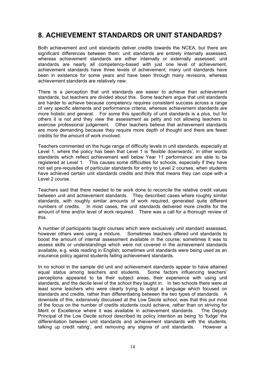### **8. ACHIEVEMENT STANDARDS OR UNIT STANDARDS?**

Both achievement and unit standards deliver credits towards the NCEA, but there are significant differences between them: unit standards are entirely internally assessed, whereas achievement standards are either internally or externally assessed; unit standards are nearly all competency-based with just one level of achievement, achievement standards have three levels of achievement; many unit standards have been in existence for some years and have been through many revisions, whereas achievement standards are relatively new.

There is a perception that unit standards are easier to achieve than achievement standards, but teachers are divided about this. Some teachers argue that unit standards are harder to achieve because competency requires consistent success across a range of very specific elements and performance criteria, whereas achievement standards are more holistic and general. For some this specificity of unit standards is a plus, but for others it is not and they view the assessment as petty and not allowing teachers to exercise professional judgement. Other teachers believe that achievement standards are more demanding because they require more depth of thought and there are fewer credits for the amount of work involved.

Teachers commented on the huge range of difficulty levels in unit standards, especially at Level 1, where the policy has been that Level 1 is 'flexible downwards', in other words standards which reflect achievement well below Year 11 performance are able to be registered at Level 1. This causes some difficulties for schools, especially if they have not set pre-requisites of particular standards for entry to Level 2 courses, when students have achieved certain unit standards credits and think that means they can cope with a Level 2 course.

Teachers said that there needed to be work done to reconcile the relative credit values between unit and achievement standards. They described cases where roughly similar standards, with roughly similar amounts of work required, generated quite different numbers of credits. In most cases, the unit standards delivered more credits for the amount of time and/or level of work required. There was a call for a thorough review of this.

A number of participants taught courses which were exclusively unit standard assessed, however others were using a mixture. Sometimes teachers offered unit standards to boost the amount of internal assessment available in the course; sometimes it was to assess skills or understandings which were not covered in the achievement standards available, e.g. wide reading in English; sometimes unit standards were being used as an insurance policy against students failing achievement standards.

In no school in the sample did unit and achievement standards appear to have attained equal status among teachers and students. Some factors influencing teachers' perceptions appeared to be their subject areas, their experience with using unit standards, and the decile level of the school they taught in. In two schools there were at least some teachers who were clearly trying to adopt a language which focused on standards and credits, rather than differentiating between the two types of standards. A downside of this, extensively discussed at the Low Decile school, was that this put most of the focus on the number of credits students could achieve, rather than on striving for Merit or Excellence where it was available in achievement standards. The Deputy Principal of the Low Decile school described its policy intention as being 'to 'fudge' the differentiation between unit standards and achievement standards with the students, talking up credit rating', and removing any stigma of unit standards. However a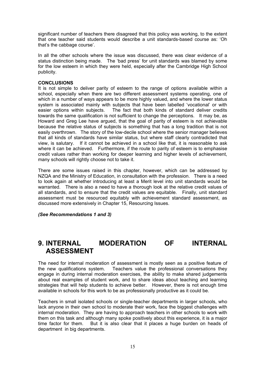significant number of teachers there disagreed that this policy was working, to the extent that one teacher said students would describe a unit standards-based course as: 'Oh that's the cabbage course'.

In all the other schools where the issue was discussed, there was clear evidence of a status distinction being made. The 'bad press' for unit standards was blamed by some for the low esteem in which they were held, especially after the Cambridge High School publicity.

### **CONCLUSIONS**

It is not simple to deliver parity of esteem to the range of options available within a school, especially when there are two different assessment systems operating, one of which in a number of ways appears to be more highly valued, and where the lower status system is associated mainly with subjects that have been labelled 'vocational' or with easier options within subjects. The fact that both kinds of standard deliver credits towards the same qualification is not sufficient to change the perceptions. It may be, as Howard and Greg Lee have argued, that the goal of parity of esteem is not achievable because the relative status of subjects is something that has a long tradition that is not easily overthrown. The story of the low-decile school where the senior manager believes that all kinds of standards have similar status, but where staff clearly contradicted that view, is salutary. If it cannot be achieved in a school like that, it is reasonable to ask where it can be achieved. Furthermore, if the route to parity of esteem is to emphasise credit values rather than working for deeper learning and higher levels of achievement, many schools will rightly choose not to take it.

There are some issues raised in this chapter, however, which can be addressed by NZQA and the Ministry of Education, in consultation with the profession. There is a need to look again at whether introducing at least a Merit level into unit standards would be warranted. There is also a need to have a thorough look at the relative credit values of all standards, and to ensure that the credit values are equitable. Finally, unit standard assessment must be resourced equitably with achievement standard assessment, as discussed more extensively in Chapter 15, Resourcing Issues.

#### *(See Recommendations 1 and 3)*

### **9. INTERNAL MODERATION OF INTERNAL ASSESSMENT**

The need for internal moderation of assessment is mostly seen as a positive feature of the new qualifications system. Teachers value the professional conversations they engage in during internal moderation exercises, the ability to make shared judgements about real examples of student work, and to share ideas about teaching and learning strategies that will help students to achieve better. However, there is not enough time available in schools for this work to be as professionally productive as it could be.

Teachers in small isolated schools or single-teacher departments in larger schools, who lack anyone in their own school to moderate their work, face the biggest challenges with internal moderation. They are having to approach teachers in other schools to work with them on this task and although many spoke positively about this experience, it is a major time factor for them. But it is also clear that it places a huge burden on heads of department in big departments.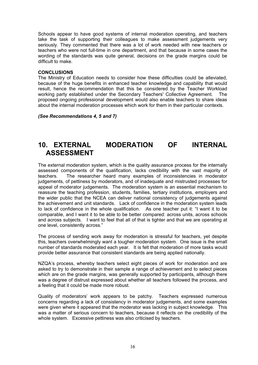Schools appear to have good systems of internal moderation operating, and teachers take the task of supporting their colleagues to make assessment judgements very seriously. They commented that there was a lot of work needed with new teachers or teachers who were not full-time in one department, and that because in some cases the wording of the standards was quite general, decisions on the grade margins could be difficult to make.

#### **CONCLUSIONS**

The Ministry of Education needs to consider how these difficulties could be alleviated, because of the huge benefits in enhanced teacher knowledge and capability that would result, hence the recommendation that this be considered by the Teacher Workload working party established under the Secondary Teachers' Collective Agreement. The proposed ongoing professional development would also enable teachers to share ideas about the internal moderation processes which work for them in their particular contexts.

*(See Recommendations 4, 5 and 7)* 

### **10. EXTERNAL MODERATION OF INTERNAL ASSESSMENT**

The external moderation system, which is the quality assurance process for the internally assessed components of the qualification, lacks credibility with the vast majority of teachers. The researcher heard many examples of inconsistencies in moderator judgements, of pettiness by moderators, and of inadequate and mistrusted processes for appeal of moderator judgements. The moderation system is an essential mechanism to reassure the teaching profession, students, families, tertiary institutions, employers and the wider public that the NCEA can deliver national consistency of judgements against the achievement and unit standards. Lack of confidence in the moderation system leads to lack of confidence in the whole qualification. As one teacher put it: "I want it to be comparable, and I want it to be able to be better compared: across units, across schools and across subjects. I want to feel that all of that is tighter and that we are operating at one level, consistently across."

The process of sending work away for moderation is stressful for teachers, yet despite this, teachers overwhelmingly want a tougher moderation system. One issue is the small number of standards moderated each year. It is felt that moderation of more tasks would provide better assurance that consistent standards are being applied nationally.

NZQA's process, whereby teachers select eight pieces of work for moderation and are asked to try to demonstrate in their sample a range of achievement and to select pieces which are on the grade margins, was generally supported by participants, although there was a degree of distrust expressed about whether all teachers followed the process, and a feeling that it could be made more robust.

Quality of moderators' work appears to be patchy. Teachers expressed numerous concerns regarding a lack of consistency in moderator judgements, and some examples were given where it appeared that the moderator was lacking in subject knowledge. This was a matter of serious concern to teachers, because it reflects on the credibility of the whole system. Excessive pettiness was also criticised by teachers.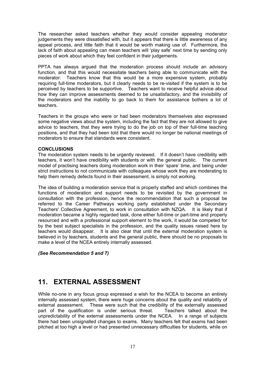The researcher asked teachers whether they would consider appealing moderator judgements they were dissatisfied with, but it appears that there is little awareness of any appeal process, and little faith that it would be worth making use of. Furthermore, the lack of faith about appealing can mean teachers will 'play safe' next time by sending only pieces of work about which they feel confident in their judgements.

PPTA has always argued that the moderation process should include an advisory function, and that this would necessitate teachers being able to communicate with the moderator. Teachers know that this would be a more expensive system, probably requiring full-time moderators, but it clearly needs to be re-visited if the system is to be perceived by teachers to be supportive. Teachers want to receive helpful advice about how they can improve assessments deemed to be unsatisfactory, and the invisibility of the moderators and the inability to go back to them for assistance bothers a lot of teachers.

Teachers in the groups who were or had been moderators themselves also expressed some negative views about the system, including the fact that they are not allowed to give advice to teachers, that they were trying to do the job on top of their full-time teaching positions, and that they had been told that there would no longer be national meetings of moderators to ensure that standards were consistent.

### **CONCLUSIONS**

The moderation system needs to be urgently reviewed. If it doesn't have credibility with teachers, it won't have credibility with students or with the general public. The current model of practising teachers doing moderation work in their 'spare' time, and being under strict instructions to not communicate with colleagues whose work they are moderating to help them remedy defects found in their assessment, is simply not working.

The idea of building a moderation service that is properly staffed and which combines the functions of moderation and support needs to be revisited by the government in consultation with the profession, hence the recommendation that such a proposal be referred to the Career Pathways working party established under the Secondary Teachers' Collective Agreement, to work in consultation with NZQA. It is likely that if moderation became a highly regarded task, done either full-time or part-time and properly resourced and with a professional support element to the work, it would be competed for by the best subject specialists in the profession, and the quality issues raised here by teachers would disappear. It is also clear that until the external moderation system is believed in by teachers, students and the general public, there should be no proposals to make a level of the NCEA entirely internally assessed.

### *(See Recommendation 5 and 7)*

### **11. EXTERNAL ASSESSMENT**

While no-one in any focus group expressed a wish for the NCEA to become an entirely internally assessed system, there were huge concerns about the quality and reliability of external assessment. These were such that the credibility of the externally assessed part of the qualification is under serious threat. Teachers talked about the unpredictability of the external assessments under the NCEA. In a range of subjects there had been unsignalled changes to exams. Many teachers felt that exams had been pitched at too high a level or had presented unnecessary difficulties for students, while on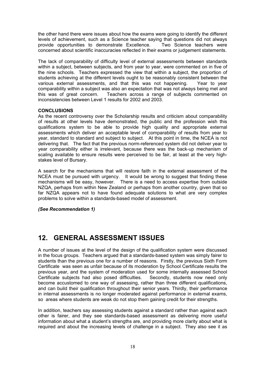the other hand there were issues about how the exams were going to identify the different levels of achievement, such as a Science teacher saying that questions did not always provide opportunities to demonstrate Excellence. concerned about scientific inaccuracies reflected in their exams or judgement statements.

The lack of comparability of difficulty level of external assessments between standards within a subject, between subjects, and from year to year, were commented on in five of the nine schools. Teachers expressed the view that within a subject, the proportion of students achieving at the different levels ought to be reasonably consistent between the various external assessments, and that this was not happening. Year to vear various external assessments, and that this was not happening. comparability within a subject was also an expectation that was not always being met and this was of great concern. Teachers across a range of subjects commented on inconsistencies between Level 1 results for 2002 and 2003.

### **CONCLUSIONS**

As the recent controversy over the Scholarship results and criticism about comparability of results at other levels have demonstrated, the public and the profession wish this qualifications system to be able to provide high quality and appropriate external assessments which deliver an acceptable level of comparability of results from year to year, standard to standard and subject to subject. At this point in time, the NCEA is not delivering that. The fact that the previous norm-referenced system did not deliver year to year comparability either is irrelevant, because there was the back-up mechanism of scaling available to ensure results were perceived to be fair, at least at the very highstakes level of Bursary.

A search for the mechanisms that will restore faith in the external assessment of the NCEA must be pursued with urgency. It would be wrong to suggest that finding these mechanisms will be easy, however. There is a need to access expertise from outside NZQA, perhaps from within New Zealand or perhaps from another country, given that so far NZQA appears not to have found adequate solutions to what are very complex problems to solve within a standards-based model of assessment.

*(See Recommendation 1)* 

## **12. GENERAL ASSESSMENT ISSUES**

A number of issues at the level of the design of the qualification system were discussed in the focus groups. Teachers argued that a standards-based system was simply fairer to students than the previous one for a number of reasons. Firstly, the previous Sixth Form Certificate was seen as unfair because of its moderation by School Certificate results the previous year, and the system of moderation used for some internally assessed School Certificate subjects had also posed difficulties. Secondly, students now need only become accustomed to one way of assessing, rather than three different qualifications, and can build their qualification throughout their senior years. Thirdly, their performance in internal assessments is no longer moderated against performance in external exams, so areas where students are weak do not stop them gaining credit for their strengths.

In addition, teachers say assessing students against a standard rather than against each other is fairer, and they see standards-based assessment as delivering more useful information about what a student's strengths are, and providing more clarity about what is required and about the increasing levels of challenge in a subject. They also see it as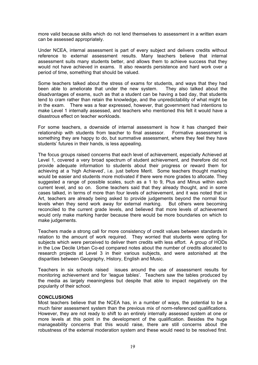more valid because skills which do not lend themselves to assessment in a written exam can be assessed appropriately.

Under NCEA, internal assessment is part of every subject and delivers credits without reference to external assessment results. Many teachers believe that internal assessment suits many students better, and allows them to achieve success that they would not have achieved in exams. It also rewards persistence and hard work over a period of time, something that should be valued.

Some teachers talked about the stress of exams for students, and ways that they had been able to ameliorate that under the new system. They also talked about the disadvantages of exams, such as that a student can be having a bad day, that students tend to cram rather than retain the knowledge, and the unpredictability of what might be in the exam. There was a fear expressed, however, that government had intentions to make Level 1 internally assessed, and teachers who mentioned this felt it would have a disastrous effect on teacher workloads.

For some teachers, a downside of internal assessment is how it has changed their relationship with students from teacher to final assessor. Formative assessment is something they are happy to do, but summative assessment, where they feel they have students' futures in their hands, is less appealing.

The focus groups raised concerns that each level of achievement, especially Achieved at Level 1, covered a very broad spectrum of student achievement, and therefore did not provide adequate information to students about their progress or reward them for achieving at a 'high Achieved', i.e. just before Merit. Some teachers thought marking would be easier and students more motivated if there were more grades to allocate. They suggested a range of possible scales, such as a 1 to 9, Plus and Minus within each current level, and so on. Some teachers said that they already thought, and in some cases talked, in terms of more than four levels of achievement, and it was noted that in Art, teachers are already being asked to provide judgements beyond the normal four levels when they send work away for external marking. But others were becoming reconciled to the current grade levels, and believed that more levels of achievement would only make marking harder because there would be more boundaries on which to make judgements.

Teachers made a strong call for more consistency of credit values between standards in relation to the amount of work required. They worried that students were opting for subjects which were perceived to deliver them credits with less effort. A group of HODs in the Low Decile Urban Co-ed compared notes about the number of credits allocated to research projects at Level 3 in their various subjects, and were astonished at the disparities between Geography, History, English and Music.

Teachers in six schools raised issues around the use of assessment results for monitoring achievement and for 'league tables'. Teachers saw the tables produced by the media as largely meaningless but despite that able to impact negatively on the popularity of their school.

### **CONCLUSIONS**

Most teachers believe that the NCEA has, in a number of ways, the potential to be a much fairer assessment system than the previous mix of norm-referenced qualifications. However, they are not ready to shift to an entirely internally assessed system at one or more levels at this point in the development of the qualification. Besides the huge manageability concerns that this would raise, there are still concerns about the robustness of the external moderation system and these would need to be resolved first.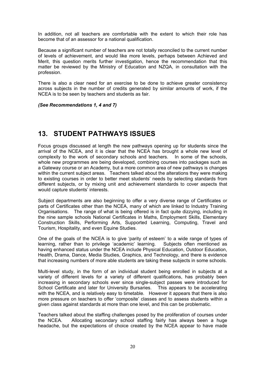In addition, not all teachers are comfortable with the extent to which their role has become that of an assessor for a national qualification.

Because a significant number of teachers are not totally reconciled to the current number of levels of achievement, and would like more levels, perhaps between Achieved and Merit, this question merits further investigation, hence the recommendation that this matter be reviewed by the Ministry of Education and NZQA, in consultation with the profession.

There is also a clear need for an exercise to be done to achieve greater consistency across subjects in the number of credits generated by similar amounts of work, if the NCEA is to be seen by teachers and students as fair.

*(See Recommendations 1, 4 and 7)* 

### **13. STUDENT PATHWAYS ISSUES**

Focus groups discussed at length the new pathways opening up for students since the arrival of the NCEA, and it is clear that the NCEA has brought a whole new level of complexity to the work of secondary schools and teachers. In some of the schools, whole new programmes are being developed, combining courses into packages such as a Gateway course or an Academy, but a more common area of new pathways is changes within the current subject areas. Teachers talked about the alterations they were making to existing courses in order to better meet students' needs by selecting standards from different subjects, or by mixing unit and achievement standards to cover aspects that would capture students' interests.

Subject departments are also beginning to offer a very diverse range of Certificates or parts of Certificates other than the NCEA, many of which are linked to Industry Training Organisations. The range of what is being offered is in fact quite dizzying, including in the nine sample schools National Certificates in Maths, Employment Skills, Elementary Construction Skills, Performing Arts, Supported Learning, Computing, Travel and Tourism, Hospitality, and even Equine Studies.

One of the goals of the NCEA is to give 'parity of esteem' to a wide range of types of learning, rather than to privilege 'academic' learning. Subjects often mentioned as having enhanced status under the NCEA include Physical Education, Outdoor Education, Health, Drama, Dance, Media Studies, Graphics, and Technology, and there is evidence that increasing numbers of more able students are taking these subjects in some schools.

Multi-level study, in the form of an individual student being enrolled in subjects at a variety of different levels for a variety of different qualifications, has probably been increasing in secondary schools ever since single-subject passes were introduced for School Certificate and later for University Bursaries. This appears to be accelerating with the NCEA, and is relatively easy to timetable. However it appears that there is also more pressure on teachers to offer 'composite' classes and to assess students within a given class against standards at more than one level, and this can be problematic.

Teachers talked about the staffing challenges posed by the proliferation of courses under the NCEA. Allocating secondary school staffing fairly has always been a huge headache, but the expectations of choice created by the NCEA appear to have made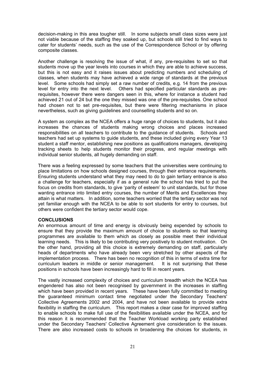decision-making in this area tougher still. In some subjects small class sizes were just not viable because of the staffing they soaked up, but schools still tried to find ways to cater for students' needs, such as the use of the Correspondence School or by offering composite classes.

Another challenge is resolving the issue of what, if any, pre-requisites to set so that students move up the year levels into courses in which they are able to achieve success, but this is not easy and it raises issues about predicting numbers and scheduling of classes, when students may have achieved a wide range of standards at the previous level. Some schools had simply set a raw number of credits, e.g. 14 from the previous level for entry into the next level. Others had specified particular standards as prerequisites, however there were dangers seen in this, where for instance a student had achieved 21 out of 24 but the one they missed was one of the pre-requisites. One school had chosen not to set pre-requisites, but there were filtering mechanisms in place nevertheless, such as giving guidelines and counselling students and so on.

A system as complex as the NCEA offers a huge range of choices to students, but it also increases the chances of students making wrong choices and places increased responsibilities on all teachers to contribute to the guidance of students. Schools and teachers had set up systems to guide students, and these included giving every Year 13 student a staff mentor, establishing new positions as qualifications managers, developing tracking sheets to help students monitor their progress, and regular meetings with individual senior students, all hugely demanding on staff.

There was a feeling expressed by some teachers that the universities were continuing to place limitations on how schools designed courses, through their entrance requirements. Ensuring students understand what they may need to do to gain tertiary entrance is also a challenge for teachers, especially if as a general rule the school has tried to put the focus on credits from standards, to give 'parity of esteem' to unit standards, but for those wanting entrance into limited entry courses, the number of Merits and Excellences they attain is what matters. In addition, some teachers worried that the tertiary sector was not yet familiar enough with the NCEA to be able to sort students for entry to courses, but others were confident the tertiary sector would cope.

### **CONCLUSIONS**

An enormous amount of time and energy is obviously being expended by schools to ensure that they provide the maximum amount of choice to students so that learning programmes are available to them which as closely as possible meet their individual learning needs. This is likely to be contributing very positively to student motivation. On the other hand, providing all this choice is extremely demanding on staff, particularly heads of departments who have already been very stretched by other aspects of the implementation process. There has been no recognition of this in terms of extra time for curriculum leaders in middle or senior management. It is not surprising that these positions in schools have been increasingly hard to fill in recent years.

The vastly increased complexity of choices and curriculum breadth which the NCEA has engendered has also not been recognised by government in the increases in staffing which have been provided in recent years. These have been fully committed to meeting the guaranteed minimum contact time negotiated under the Secondary Teachers' Collective Agreements 2002 and 2004, and have not been available to provide extra flexibility in staffing the curriculum. This report makes a clear case for improved staffing to enable schools to make full use of the flexibilities available under the NCEA, and for this reason it is recommended that the Teacher Workload working party established under the Secondary Teachers' Collective Agreement give consideration to the issues. There are also increased costs to schools in broadening the choices for students, in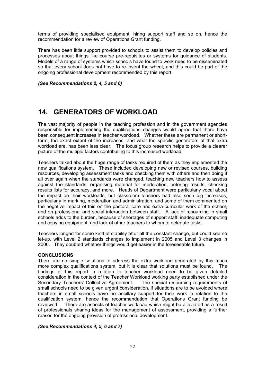terms of providing specialised equipment, hiring support staff and so on, hence the recommendation for a review of Operations Grant funding.

There has been little support provided to schools to assist them to develop policies and processes about things like course pre-requisites or systems for guidance of students. Models of a range of systems which schools have found to work need to be disseminated so that every school does not have to re-invent the wheel, and this could be part of the ongoing professional development recommended by this report.

*(See Recommendations 2, 4, 5 and 6)* 

## **14. GENERATORS OF WORKLOAD**

The vast majority of people in the teaching profession and in the government agencies responsible for implementing the qualifications changes would agree that there have been consequent increases in teacher workload. Whether these are permanent or shortterm, the exact extent of the increases, and what the specific generators of that extra workload are, has been less clear. The focus group research helps to provide a clearer picture of the multiple factors contributing to this increased workload.

Teachers talked about the huge range of tasks required of them as they implemented the new qualifications system. These included developing new or revised courses, building resources, developing assessment tasks and checking them with others and then doing it all over again when the standards were changed, teaching new teachers how to assess against the standards, organising material for moderation, entering results, checking results lists for accuracy, and more. Heads of Department were particularly vocal about the impact on their workloads, but classroom teachers had also seen big increases, particularly in marking, moderation and administration, and some of them commented on the negative impact of this on the pastoral care and extra-curricular work of the school, and on professional and social interaction between staff. A lack of resourcing in small schools adds to the burden, because of shortages of support staff, inadequate computing and copying equipment, and lack of other teachers to whom to delegate tasks.

Teachers longed for some kind of stability after all the constant change, but could see no let-up, with Level 2 standards changes to implement in 2005 and Level 3 changes in 2006. They doubted whether things would get easier in the foreseeable future.

### **CONCLUSIONS**

There are no simple solutions to address the extra workload generated by this much more complex qualifications system, but it is clear that solutions must be found. The findings of this report in relation to teacher workload need to be given detailed consideration in the context of the Teacher Workload working party established under the Secondary Teachers' Collective Agreement. The special resourcing requirements of small schools need to be given urgent consideration, if situations are to be avoided where teachers in small schools have no ancillary support for their work in relation to the qualification system, hence the recommendation that Operations Grant funding be reviewed. There are aspects of teacher workload which might be alleviated as a result of professionals sharing ideas for the management of assessment, providing a further reason for the ongoing provision of professional development.

### *(See Recommendations 4, 5, 6 and 7)*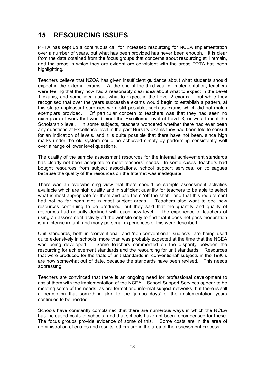# **15. RESOURCING ISSUES**

PPTA has kept up a continuous call for increased resourcing for NCEA implementation over a number of years, but what has been provided has never been enough. It is clear from the data obtained from the focus groups that concerns about resourcing still remain, and the areas in which they are evident are consistent with the areas PPTA has been highlighting.

Teachers believe that NZQA has given insufficient guidance about what students should expect in the external exams. At the end of the third year of implementation, teachers were feeling that they now had a reasonably clear idea about what to expect in the Level 1 exams, and some idea about what to expect in the Level 2 exams, but while they recognised that over the years successive exams would begin to establish a pattern, at this stage unpleasant surprises were still possible, such as exams which did not match exemplars provided. Of particular concern to teachers was that they had seen no exemplars of work that would meet the Excellence level at Level 3, or would meet the Scholarship level. In some subjects, teachers wondered whether there had ever been any questions at Excellence level in the past Bursary exams they had been told to consult for an indication of levels, and it is quite possible that there have not been, since high marks under the old system could be achieved simply by performing consistently well over a range of lower level questions.

The quality of the sample assessment resources for the internal achievement standards has clearly not been adequate to meet teachers' needs. In some cases, teachers had bought resources from subject associations, school support services, or colleagues because the quality of the resources on the Internet was inadequate.

There was an overwhelming view that there should be sample assessment activities available which are high quality and in sufficient quantity for teachers to be able to select what is most appropriate for them and use them 'off the shelf', and that this requirement had not so far been met in most subject areas. Teachers also want to see new resources continuing to be produced, but they said that the quantity and quality of resources had actually declined with each new level. The experience of teachers of using an assessment activity off the website only to find that it does not pass moderation is an intense irritant, and many personal experiences of this were described.

Unit standards, both in 'conventional' and 'non-conventional' subjects, are being used quite extensively in schools, more than was probably expected at the time that the NCEA was being developed. Some teachers commented on the disparity between the resourcing for achievement standards and the resourcing for unit standards. Resources that were produced for the trials of unit standards in 'conventional' subjects in the 1990's are now somewhat out of date, because the standards have been revised. This needs addressing.

Teachers are convinced that there is an ongoing need for professional development to assist them with the implementation of the NCEA. School Support Services appear to be meeting some of the needs, as are formal and informal subject networks, but there is still a perception that something akin to the 'jumbo days' of the implementation years continues to be needed.

Schools have constantly complained that there are numerous ways in which the NCEA has increased costs to schools, and that schools have not been recompensed for these. The focus groups provide evidence of some of this. Some costs are in the area of administration of entries and results; others are in the area of the assessment process.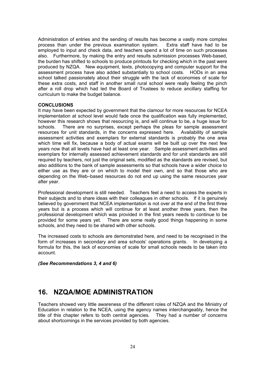Administration of entries and the sending of results has become a vastly more complex process than under the previous examination system. Extra staff have had to be employed to input and check data, and teachers spend a lot of time on such processes also. Furthermore, by making the entry and results submission processes Web-based, the burden has shifted to schools to produce printouts for checking which in the past were produced by NZQA. New equipment, texts, photocopying and computer support for the assessment process have also added substantially to school costs. HODs in an area school talked passionately about their struggle with the lack of economies of scale for these extra costs, and staff in another small rural school were really feeling the pinch after a roll drop which had led the Board of Trustees to reduce ancillary staffing for curriculum to make the budget balance.

### **CONCLUSIONS**

It may have been expected by government that the clamour for more resources for NCEA implementation at school level would fade once the qualification was fully implemented, however this research shows that resourcing is, and will continue to be, a huge issue for schools. There are no surprises, except perhaps the pleas for sample assessment resources for unit standards, in the concerns expressed here. Availability of sample assessment activities and exemplars for external standards is probably the one area which time will fix, because a body of actual exams will be built up over the next few years now that all levels have had at least one year. Sample assessment activities and exemplars for internally assessed achievement standards and for unit standards are still required by teachers, not just the original sets, modified as the standards are revised, but also additions to the bank of sample assessments so that schools have a wider choice to either use as they are or on which to model their own, and so that those who are depending on the Web–based resources do not end up using the same resources year after year.

Professional development is still needed. Teachers feel a need to access the experts in their subjects and to share ideas with their colleagues in other schools. If it is genuinely believed by government that NCEA implementation is not over at the end of the first three years but is a process which will continue for at least another three years, then the professional development which was provided in the first years needs to continue to be provided for some years yet. There are some really good things happening in some schools, and they need to be shared with other schools.

The increased costs to schools are demonstrated here, and need to be recognised in the form of increases in secondary and area schools' operations grants. In developing a formula for this, the lack of economies of scale for small schools needs to be taken into account.

*(See Recommendations 3, 4 and 6)* 

### **16. NZQA/MOE ADMINISTRATION**

Teachers showed very little awareness of the different roles of NZQA and the Ministry of Education in relation to the NCEA, using the agency names interchangeably, hence the title of this chapter refers to both central agencies. They had a number of concerns about shortcomings in the services provided by both agencies.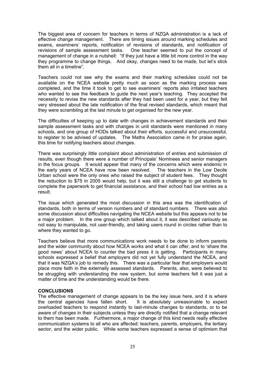The biggest area of concern for teachers in terms of NZQA administration is a lack of effective change management. There are timing issues around marking schedules and exams, examiners' reports, notification of revisions of standards, and notification of revisions of sample assessment tasks. One teacher seemed to put the concept of management of change in a nutshell: "If they just have a little bit more control in the way they programme to change things. And okay, changes need to be made, but let's stick them all in a timeline".

Teachers could not see why the exams and their marking schedules could not be available on the NCEA website pretty much as soon as the marking process was completed, and the time it took to get to see examiners' reports also irritated teachers who wanted to see the feedback to guide the next year's teaching. They accepted the necessity to revise the new standards after they had been used for a year, but they felt very stressed about the late notification of the final revised standards, which meant that they were scrambling at the last minute to get organised for the new year.

The difficulties of keeping up to date with changes in achievement standards and their sample assessment tasks and with changes in unit standards were mentioned in many schools, and one group of HODs talked about their efforts, successful and unsuccessful, to register to be advised of updates. The Maths Association came in for praise again, this time for notifying teachers about changes.

There was surprisingly little complaint about administration of entries and submission of results, even though there were a number of Principals' Nominees and senior managers in the focus groups. It would appear that many of the concerns which were endemic in the early years of NCEA have now been resolved. The teachers in the Low Decile Urban school were the only ones who raised the subject of student fees. They thought the reduction to \$75 in 2005 would help, but it was still a challenge to get students to complete the paperwork to get financial assistance, and their school had low entries as a result.

The issue which generated the most discussion in this area was the identification of standards, both in terms of version numbers and of standard numbers. There was also some discussion about difficulties navigating the NCEA website but this appears not to be a major problem. In the one group which talked about it, it was described variously as not easy to manipulate, not user-friendly, and taking users round in circles rather than to where they wanted to go.

Teachers believe that more communications work needs to be done to inform parents and the wider community about how NCEA works and what it can offer, and to 'share the good news' about NCEA to counter the bad press it is getting. Participants in many schools expressed a belief that employers did not yet fully understand the NCEA, and that it was NZQA's job to remedy this. There was a particular fear that employers would place more faith in the externally assessed standards. Parents, also, were believed to be struggling with understanding the new system, but some teachers felt it was just a matter of time and the understanding would be there.

### **CONCLUSIONS**

The effective management of change appears to be the key issue here, and it is where the central agencies have fallen short. It is absolutely unreasonable to expect overloaded teachers to respond instantly to last-minute changes to standards, or to be aware of changes in their subjects unless they are directly notified that a change relevant to them has been made. Furthermore, a major change of this kind needs really effective communication systems to all who are affected: teachers, parents, employers, the tertiary sector, and the wider public. While some teachers expressed a sense of optimism that